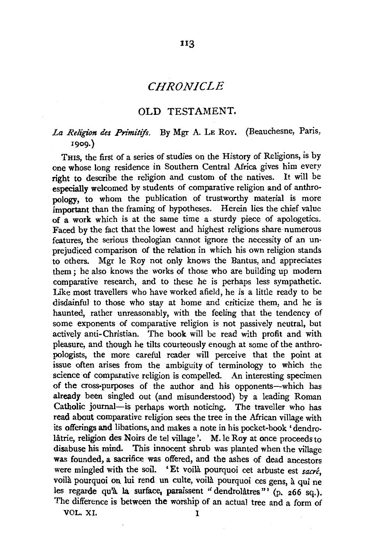# *CHRONICLE*

us

#### OLD TESTAMENT.

# *La Religion des Primitifs.* By Mgr A. LE Rov. (Beauchesne, Paris, 1909.)

THIS, the first of a series of studies on the History of Religions, is by one whose long residence in Southern Central Africa gives him every right to describe the religion and custom of the natives. It will be especially welcomed by students of comparative religion and of anthropology, to whom the publication of trustworthy material is more important than the framing of hypotheses. Herein lies the chief value of a work which is at the same time a sturdy piece of apologetics. Faced by the fact that the lowest and highest religions share numerous features, the serious theologian cannot ignore the necessity of an unprejudiced comparison of the relation in which his own religion stands to others. Mgr le Roy not only knows the Bantus, and appreciates them ; he also knows the works of those who are building up modem comparative research, and to these he is perhaps less sympathetic. Like most travellers who have worked afield, he is a little ready to be disdainful to those who stay at home and criticize them, and he is haunted, rather unreasonably, with the feeling that the tendency of some exponents of comparative religion is not passively neutral, but actively anti-Christian. The book will be read with profit and with pleasure, and though he tilts courteously enough at some of the anthropologists, the more careful reader will perceive that the point at issue often arises from the ambiguity of terminology to which the science of comparative religion is compelled. An interesting specimen of the cross-purposes of the author and his opponents-which has already been singled out (and misunderstood) by a leading Roman Catholic journal-is perhaps worth noticing. The traveller who has read about comparative religion sees the tree in the African village with its offerings and libations, and makes a note in his pocket-book 'dendro-Iatrie, religion des Noirs de tel village'. M. le Roy at once proceeds to disabuse his mind. This innocent shrub was planted when the village was founded, a sacrifice was offered, and the ashes of dead ancestors were mingled with the soil. 'Et voila pourquoi cet arbuste est *sacré*, voila pourquoi on lui rend un culte, voila pourquoi ces gens, a qui ne les regarde qu'à la surface, paraissent " dendrolâtres" (p. 266 sq.). The difference is between the worship of an actual tree and a form of

VOL. XI. I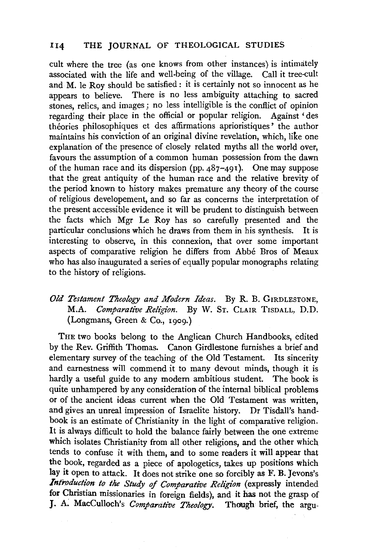## I 14 THE JOURNAL OF THEOLOGICAL STUDIES

cult where the tree (as one knows from other instances) is intimately associated with the life and well-being of the village. Call it tree-cult and M. le Roy should be satisfied : it is certainly not so innocent as he appears to believe. There is no less ambiguity attaching to sacred stones, relics, and images ; no less intelligible is the conflict of opinion regarding their place in the official or popular religion. Against ' des théories philosophiques et des affirmations aprioristiques' the author maintains his conviction of an original divine revelation, which, like one explanation of the presence of closely related myths all the world over, favours the assumption of a common human possession from the dawn of the human race and its dispersion (pp.  $487-491$ ). One may suppose that the great antiquity of the human race and the relative brevity of the period known to history makes premature any theory of the course of religious developement, and so far as concerns the interpretation of the present accessible evidence it will be prudent to distinguish between the facts which Mgr Le Roy has so carefully presented and the particular conclusions which he draws from them in his synthesis. It is interesting to observe, in this connexion, that over some important aspects of comparative religion he differs from Abbe Bros of Meaux who has also inaugurated a series of equally popular monographs relating to the history of religions.

## *Old Testament Theology and Modern Ideas.* By R. B. GrRDLESTONE, M.A. *Comparative Religion.* By W. ST. CLAIR TISDALL, D.D. (Longmans, Green & Co., 1909.)

THE two books belong to the Anglican Church Handbooks, edited by the Rev. Griffith Thomas. Canon Girdlestone furnishes a brief and elementary survey of the teaching of the Old Testament. Its sincerity and earnestness will commend it to many devout minds, though it is hardly a useful guide to any modern ambitious student. The book is quite unhampered by any consideration of the internal biblical problems or of the ancient ideas current when the Old Testament was written, and gives an unreal impression of Israelite history. Dr Tisdall's handbook is an estimate of Christianity in the light of comparative religion. It is always difficult to hold the balance fairly between the one extreme which isolates Christianity from all other religions, and the other which tends to confuse it with them, and to some readers it will appear that the book, regarded as a piece of apologetics, takes up positions which lay it open to attack. It does not strike one so forcibly as F. B. Jevons's *Introduction to the Study of Comparative Religion* (expressly intended for Christian missionaries in foreign fields), and it has not the grasp of J. A. MacCulloch's *Comparative Theology.* Though brief, the argu-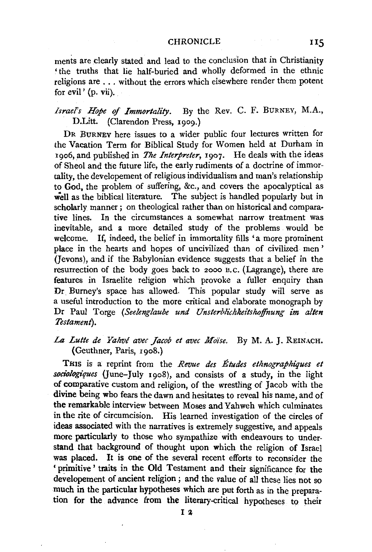#### CHRONICLE 115

ments are dearly stated and lead to the conclusion that in Christianity 'the truths that lie half-buried and wholly deformed in the ethnic religions are ... without the errors which elsewhere render them potent for evil' (p. vii).

## *Israel's Hope of Immortality.* By the Rev. C. F. BURNEY, M.A., D.Litt. (Clarendon Press, 1909.)

DR BURNEY here issues to a wider public four lectures written for the Vacation Term for Biblical Study for Women held at Durham in 1906, and published in *The Interpreter*, 1907. He deals with the ideas of Sheol and the future life, the early rudiments of a doctrine of immortality, the developement of religious individualism and man's relationship to God, the problem of suffering, &c., and covers the apocalyptical as well as the biblical literature. The subject is handled popularly but in scholarly manner; on theological rather than on historical and comparative lines. In the circumstances a somewhat narrow treatment was inevitable, and a more detailed study of the problems would be welcome. If, indeed, the belief in immortality fills 'a more prominent place in the hearts and hopes of uncivilized than of civilized men' (Jevons), and if the Babylonian evidence suggests that a belief in the resurrection of the body goes back to 2000 B. c. (Lagrange), there are features in Israelite religion which provoke a fuller enquiry than Dr. Burney's space has allowed. This popular study will serve as a useful introduction to the more critical and elaborate monograph by Dr Paul Torge *(Seelenglaube und Unsterblichkeitskoffnung im alien Testament).* 

## La Lutte de Yahvé avec Jacob et avec Moise. By M.A.J. REINACH. (Geuthner, Paris, 1908.)

THIS is a reprint from the *Revue des Etudes etknographiques et sociologiques* (June-July 1908), and consists of a study, in the light of comparative custom and religion, of the wrestling of Jacob with the divine being who fears the dawn and hesitates to reveal his name, and of the remarkable interview between Moses and Yahweh which culminates in the rite of circumcision. His learned investigation of the circles of ideas associated with the narratives is extremely suggestive, and appeals more particularly to those who sympathize with endeavours to understand that background of thought upon which the religion of Israel was placed. It is one of the several recent efforts to reconsider the 'primitive' traits in the Old Testament and their significance for the developement of ancient religion ; and the value of all these lies not so much in the particular hypotheses which are put forth as in the preparation for the advance from the literary-critical hypotheses to their<br>
I 2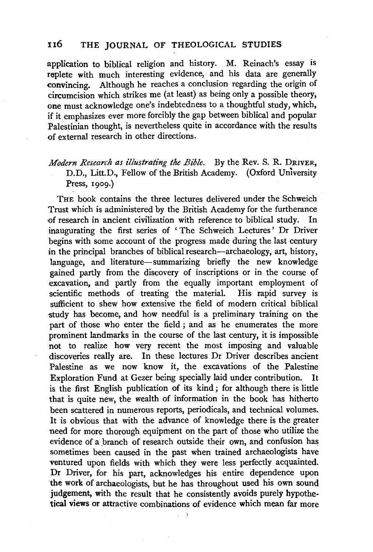## II6 THE JOURNAL OF THEOLOGICAL STUDIES

application to biblical religion and history. M. Reinach's essay is replete with much interesting evidence, and his data are generally convincing. Although he reaches a conclusion regarding the origin of circumcision which strikes me (at least) as being only a possible theory, one must acknowledge one's indebtedness to a thoughtful study, which, if it emphasizes ever more forcibly the gap between biblical and popular Palestinian thought, is nevertheless quite in accordance with the results of external research in other directions.

# *Modern Research as illustrating the Bible.* By the Rev. S. R. DRIVER, D.D., Litt.D., Fellow of the British Academy. (Oxford University Press, 1909.)

THE book contains the three lectures delivered under the Schweich Trust which is administered by the British Academy for the furtherance ·of research in ancient civilization with reference to biblical study. In inaugurating the first series of 'The Schweich Lectures' Dr Driver begins with some account of the progress made during the last century in the principal branches of biblical research-archaeology, art, history, language, and literature-summarizing briefly the new knowledge gained partly from the discovery of inscriptions or in the course of excavation, and partly from the equally important employment of scientific methods of treating the material. His rapid survey is sufficient to shew how extensive the field of modern critical biblical study has become, and how needful is a preliminary training on the part of those who enter the field ; and as he enumerates the more prominent landmarks in the course of the last century, it is impossible not to realize how very recent the most imposing and valuable discoveries really are. In these lectures Dr Driver describes ancient Palestine as we now know it, the excavations of the Palestine Exploration Fund at Gezer being specially laid under contribution. is the first English publication of its kind; for although there is little that is quite new, the wealth of information in the book has hitherto been scattered in numerous reports, periodicals, and technical volumes. It is obvious that with the advance of knowledge there is the greater need for more thorough equipment on the part of those who utilize the evidence of a branch of research outside their own, and confusion has sometimes been caused in the past when trained archaeologists have ventured upon fields with which they were less perfectly acquainted. Dr Driver, for his part, acknowledges his entire dependence upon 'the work of archaeologists, but he has throughout used his own sound judgement, with the result that he consistently avoids purely hypothetical views or attractive combinations of evidence which mean far more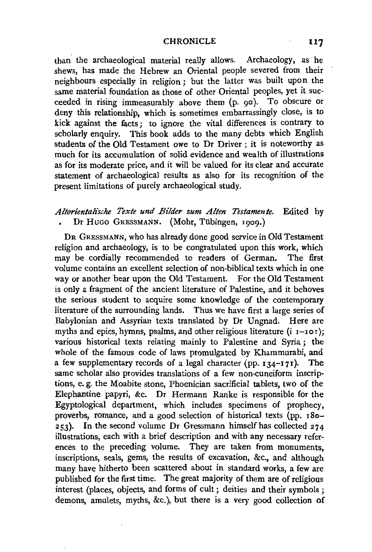#### CHRONICLE 117

than the archaeological material really allows. Archaeology, as he shews, has made the Hebrew an Oriental people severed from their neighbours especially in religion ; but the latter was built upon the same material foundation as those of other Oriental peoples, yet it succeeded in rising immeasurably above them (p. 90). To obscure or deny this relationship, which is sometimes embarrassingly close, is to kick against the facts ; to ignore the vital differences is contrary to scholarly enquiry. This book adds to the many debts which English students of the Old Testament owe to Dr Driver ; it is noteworthy as much for its accumulation of solid evidence and wealth of illustrations as for its moderate price, and it will be valued for its clear and accurate statement of archaeological results as also for its recognition of the present limitations of purely archaeological study.

## *Altorientalt"sche Texte und Bilder zum A/ten Testamente.* Edited by Dr HuGo GRESSMANN. (Mohr, Tubingen, 1909.)

DR GRESSMANN, who has already done good service in Old Testament religion and archaeology, is to be congratulated upon this work, which may be cordially recommended to readers of German. The first volume contains an excellent selection of non-biblical texts which in one way or another bear upon the Old Testament. For the Old Testament is only a fragment of the ancient literature of Palestine, and it behoves the serious student to acquire some knowledge of the contemporary literature of the surrounding lands. Thus we have first a large series of Babylonian and Assyrian texts translated by Dr Ungnad. Here are myths and epics, hymns, psalms, and other religious literature ( $i$   $i$ - $i$ o $i$ ); various historical texts relating mainly to Palestine and Syria ; the whole of the famous code of laws promulgated by Khammurabi, and a few supplementary records of a legal character (pp.  $134-171$ ). The same scholar also provides translations of a few non-cuneiform inscriptions, e. g. the Moabite stone, Phoenician sacrificial tablets, two of the Elephantine papyri, &c. Dr Hermann Ranke is responsible for the Egyptological department, which includes specimens of prophecy, proverbs, romance, and a good selection of historical texts (pp. 180- $253$ . In the second volume Dr Gressmann himself has collected  $274$ illustrations, each with a brief description and with any necessary references to the preceding volume. They are taken from monuments, inscriptions, seals, gems, the results of excavation, &c., and although many have hitherto been scattered about in standard works, a few are published for the first time. The great majority of them are of religious interest (places, objects, and forms of cult ; deities and their symbols ; demons, amulets, myths, &c.), but there is a very good collection of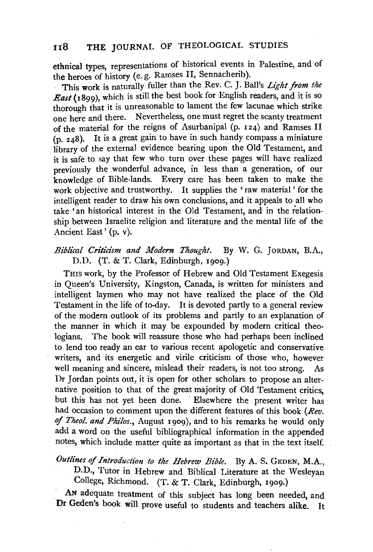ethnical types, representations of historical events in Palestine, and of the heroes of history (e. g. Ramses II, Sennacherib).

This work is naturally fuller than the Rev. C. J. Ball's *Light from the East* (1899), which is still the best book for English readers, and it is so thorough that it is unreasonable to lament the few lacunae which strike one here and there. Nevertheless, one must regret the scanty treatment of the material for the reigns of Asurbanipal (p. 124) and Ramses II (p. 248). It is a great gain to have in such handy compass a miniature library of the external evidence bearing upon the Old Testament, and it is safe to say that few who turn over these pages will have realized previously the wonderful advance, in less than a generation, of our knowledge of Bible-lands. Every care has been taken to make the work objective and trustworthy. It supplies the 'raw material' for the intelligent reader to draw his own conclusions, and it appeals to all who take 'an historical interest in the Old Testament, and in the relationship between Israelite religion and literature and the mental life of the Ancient East' (p. v).

### *Biblical Criticism and Modern Thought*. By W. G. JORDAN, B.A., D.D. (T. & T. Clark, Edinburgh, 1909.)

THIS work, by the Professor of Hebrew and Old Testament Exegesis in Queen's University, Kingston, Canada, is written for ministers and intelligent laymen who may not have realized the place of the Old Testament in the life of to-day. It is devoted partly to a general review of the modern outlook of its problems and partly to an explanation of the manner in which it may be expounded by modern critical theologians. The book will reassure those who had perhaps been inclined to lend too ready an ear to various recent apologetic and conservative writers, and its energetic and virile criticism of those who, however well meaning and sincere, mislead their readers, is not too strong. As Dr Jordan points out, it is open for other scholars to propose an alternative position to that of the great majority of Old Testament critics, but this has not yet been done. Elsewhere the present writer has had occasion to comment upon the different features of this book *(Rev.*  of *Theol. and Philos.*, August 1909), and to his remarks he would only add a word on the useful bibliographical information in the appended notes, which include matter quite as important as that in the text itself.

Outlines of Introduction to the Hebrew Bible. By A. S. GEDEN, M.A.; D.D., Tutor in Hebrew and Biblical Literature at the Wesleyan

College, Richmond. (T. & T. Clark, Edinburgh, 1909.)

AN adequate treatment of this subject has long been needed, and **Dr** Geden's book will prove useful to students and teachers alike. It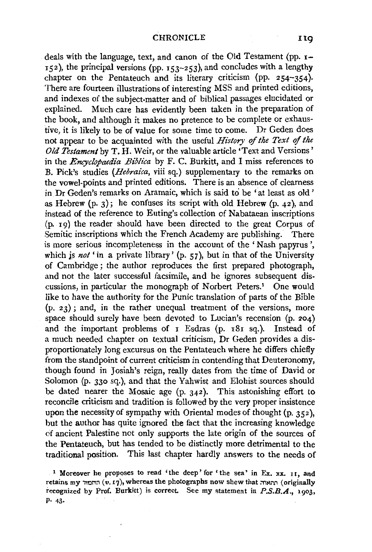110

deals with the language, text, and canon of the Old Testament (pp. 1-  $152$ ), the principal versions (pp.  $153-253$ ), and concludes with a lengthy chapter on the Pentateuch and its literary criticism (pp. 254-354). There are fourteen illustrations of interesting MSS and printed editions, and indexes of the subject-matter and of biblical passages elucidated or explained. Much care has evidently been taken in the preparation of the book, and although it makes no pretence to be complete or exhaustive, it is likely to be of value for some time to come. Dr Geden does not appear to be acquainted with the useful *History of the Text of the Old Testament* by T. H. Weir, or the valuable article 'Text and Versions' in the *Encyclopaedia Biblica* by F. C. Burkitt, and I miss references to B. Pick's studies *(Hebraica,* viii sq.) supplementary to the remarks on the vowel-points and printed editions. There is an absence of clearness in. Dr Geden's remarks on Aramaic, which is said to be 'at least as old ' as Hebrew  $(p, 3)$ ; he confuses its script with old Hebrew  $(p, 42)$ , and instead of the reference to Euting's collection of Nabataean inscriptions (p. 19) the reader should have been directed to the great Corpus of Semitic inscriptions which the French Academy are publishing. There is more serious incompleteness in the account of the 'Nash papyrus ', which is *not* 'in a private library' (p. 57), but in that of the University of Cambridge; the author reproduces the first prepared photograph, and not the later successful facsimile, and he ignores subsequent discussions, in particular the monograph of Norbert Peters.1 One would like to have the authority for the Punic translation of parts of the Bible  $(p, 23)$ ; and, in the rather unequal treatment of the versions, more space should surely have been devoted to Lucian's recension (p. 204) and the important problems of 1 Esdras (p. 181 sq.). Instead of a much needed chapter on textual criticism, Dr Geden provides a disproportionately long excursus on the Pentateuch where he differs chiefly from the standpoint of current criticism in contending that Deuteronomy, though found in Josiah's reign, really dates from the time of David or Solomon (p. 330 sq.), and that the Yahwist and Elohist sources should be dated nearer the Mosaic age (p. 342). This astonishing effort to reconcile criticism and tradition is followed by the very proper insistence upon the necessity of sympathy with Oriental modes of thought (p. 352), but the author has quite ignored the fact that the increasing knowledge of ancient Palestine not only supports the late origin of the sources of the Pentateuch, but has tended to be distinctly more detrimental to the traditional position. This last chapter hardly answers to the needs of

<sup>1</sup> Moreover he proposes to read 'the deep' for 'the sea' in Ex. xx. 11, and retains my תחמור (v.17), whereas the photographs now shew that  $\pi$ חמור (originally recognized by Prof. Burkitt) is correct. See my statement in P.S.B.A., 1903, p. 43.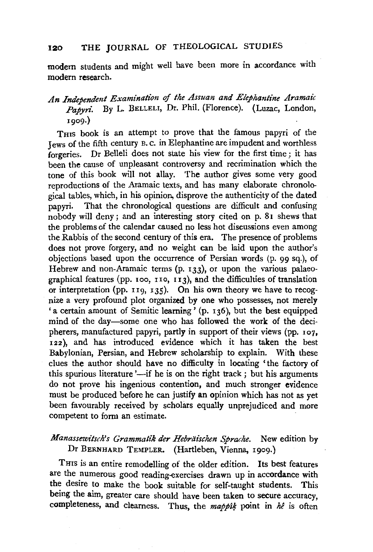# 120 THE JOURNAL OF THEOLOGICAL STUDIES

modem students and might well have been more in accordance with modem research.

# *An Independent Examination of the Assuan and Elephantine Aramaic*  Papyri. By L. BELLELI, Dr. Phil. (Florence). (Luzac, London, 1909.)

THIS book is an attempt to prove that the famous papyri of the Jews of the fifth century B. c. in Elephantine are impudent and worthless forgeries. Dr Belleli does not state his view for the first time ; it has been the cause of unpleasant controversy and recrimination which the tone of this book will not allay. The author gives some very good reproductions of the Aramaic texts, and has many elaborate chronological tables, which, in his opinion, disprove the authenticity of the dated papyri. That the chronological questions are difficult and confusing nobody will deny; and an interesting story cited on p. 81 shews that the problems of the calendar caused no less hot discussions even among the Rabbis of the second century of this era. The presence of problems does not prove forgery, and no weight can be laid upon the author's objections based upon the occurrence of Persian words (p. 99 sq.), of Hebrew and non-Aramaic terms (p. 133), or upon the various palaeographical features (pp. 100, 110, 113), and the difficulties of translation or interpretation (pp. 119, 135). On his own theory we have to recognize a very profound plot organized by one who possesses, not merely 'a certain amount of Semitic learning' (p. 136), but the best equipped mind of the day-some one who has followed the work of the decipherers, manufactured papyri, partly in support of their views (pp. 107, 122), and has introduced evidence which it has taken the best Babylonian, Persian, and Hebrew scholarship to explain. With these clues the author should have no difficulty in locating 'the factory of this spurious literature  $-$ if he is on the right track; but his arguments do not prove his ingenious contention, and much stronger evidence must be produced before he can justify an opinion which has not as yet been favourably received by scholars equally unprejudiced and more competent to form an estimate.

### *Manassewitsch's Grammatik der Hebräischen Sprache.* New edition by Dr BERNHARD TEMPLER. (Hartleben, Vienna, 1909.)

Tms is an entire remodelling of the older edition. Its best features are the numerous good reading-exercises drawn up in accordance with the desire to make the book suitable for self-taught students. This being the aim, greater care should have been taken to secure accuracy, completeness, and clearness. Thus, the *mappik* point in  $h\hat{e}$  is often